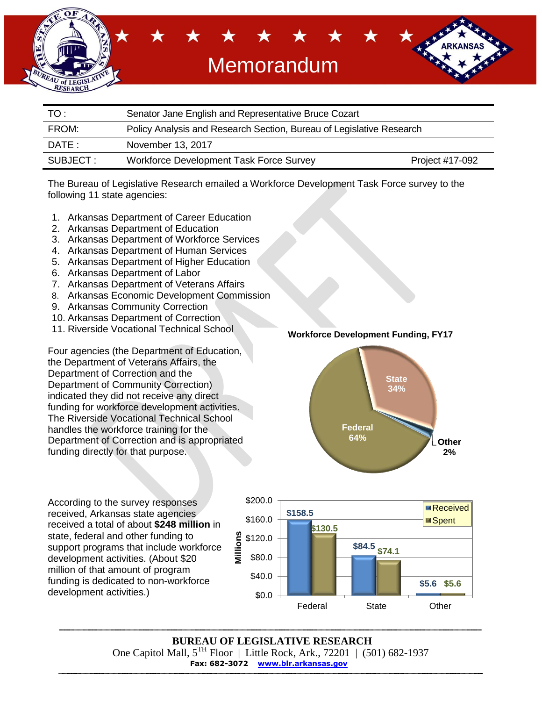

| TO:       | Senator Jane English and Representative Bruce Cozart                 |                 |  |  |
|-----------|----------------------------------------------------------------------|-----------------|--|--|
| FROM:     | Policy Analysis and Research Section, Bureau of Legislative Research |                 |  |  |
| DATE :    | November 13, 2017                                                    |                 |  |  |
| SUBJECT : | Workforce Development Task Force Survey                              | Project #17-092 |  |  |

The Bureau of Legislative Research emailed a Workforce Development Task Force survey to the following 11 state agencies:

- 1. Arkansas Department of Career Education
- 2. Arkansas Department of Education
- 3. Arkansas Department of Workforce Services
- 4. Arkansas Department of Human Services
- 5. Arkansas Department of Higher Education
- 6. Arkansas Department of Labor
- 7. Arkansas Department of Veterans Affairs
- 8. Arkansas Economic Development Commission
- 9. Arkansas Community Correction
- 10. Arkansas Department of Correction
- 11. Riverside Vocational Technical School

Four agencies (the Department of Education, the Department of Veterans Affairs, the Department of Correction and the Department of Community Correction) indicated they did not receive any direct funding for workforce development activities. The Riverside Vocational Technical School handles the workforce training for the Department of Correction and is appropriated funding directly for that purpose.

**Workforce Development Funding, FY17**



According to the survey responses received, Arkansas state agencies received a total of about **\$248 million** in state, federal and other funding to support programs that include workforce development activities. (About \$20 million of that amount of program funding is dedicated to non-workforce development activities.)